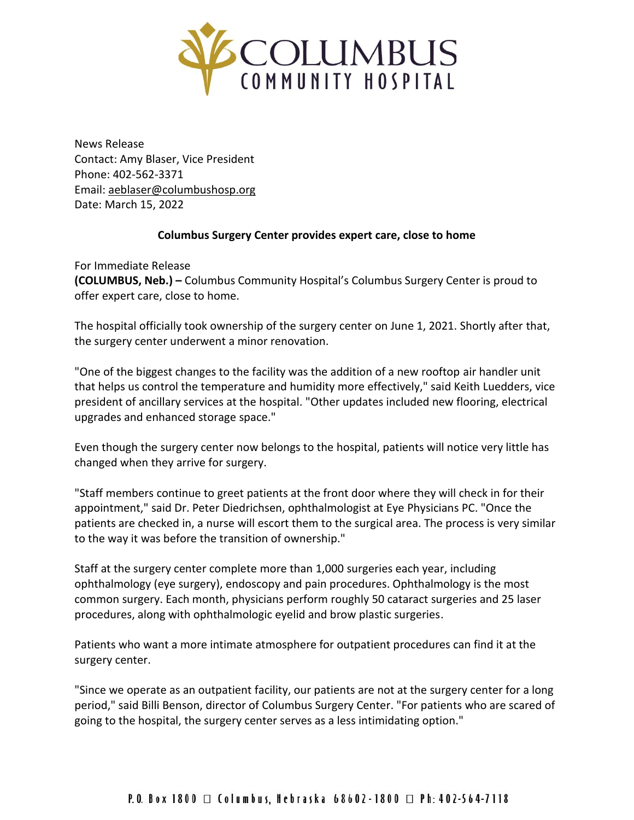

News Release Contact: Amy Blaser, Vice President Phone: 402-562-3371 Email: [aeblaser@columbushosp.org](mailto:aeblaser@columbushosp.org) Date: March 15, 2022

## **Columbus Surgery Center provides expert care, close to home**

For Immediate Release **(COLUMBUS, Neb.) –** Columbus Community Hospital's Columbus Surgery Center is proud to offer expert care, close to home.

The hospital officially took ownership of the surgery center on June 1, 2021. Shortly after that, the surgery center underwent a minor renovation.

"One of the biggest changes to the facility was the addition of a new rooftop air handler unit that helps us control the temperature and humidity more effectively," said Keith Luedders, vice president of ancillary services at the hospital. "Other updates included new flooring, electrical upgrades and enhanced storage space."

Even though the surgery center now belongs to the hospital, patients will notice very little has changed when they arrive for surgery.

"Staff members continue to greet patients at the front door where they will check in for their appointment," said Dr. Peter Diedrichsen, ophthalmologist at Eye Physicians PC. "Once the patients are checked in, a nurse will escort them to the surgical area. The process is very similar to the way it was before the transition of ownership."

Staff at the surgery center complete more than 1,000 surgeries each year, including ophthalmology (eye surgery), endoscopy and pain procedures. Ophthalmology is the most common surgery. Each month, physicians perform roughly 50 cataract surgeries and 25 laser procedures, along with ophthalmologic eyelid and brow plastic surgeries.

Patients who want a more intimate atmosphere for outpatient procedures can find it at the surgery center.

"Since we operate as an outpatient facility, our patients are not at the surgery center for a long period," said Billi Benson, director of Columbus Surgery Center. "For patients who are scared of going to the hospital, the surgery center serves as a less intimidating option."